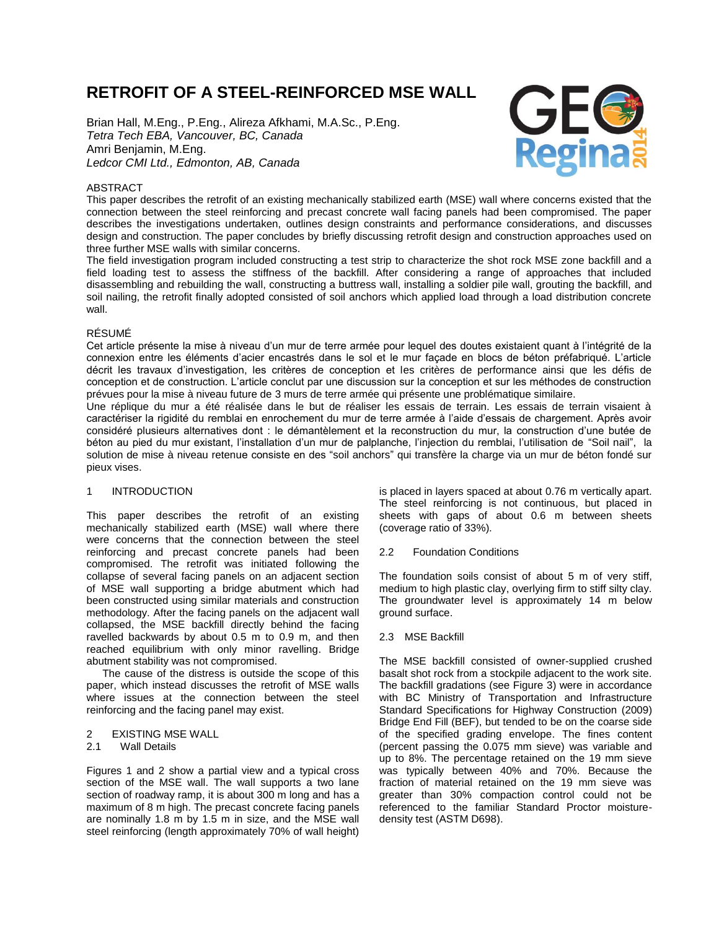# **RETROFIT OF A STEEL-REINFORCED MSE WALL**

Brian Hall, M.Eng., P.Eng., Alireza Afkhami, M.A.Sc., P.Eng. *Tetra Tech EBA, Vancouver, BC, Canada* Amri Benjamin, M.Eng. *Ledcor CMI Ltd., Edmonton, AB, Canada*



# ABSTRACT

This paper describes the retrofit of an existing mechanically stabilized earth (MSE) wall where concerns existed that the connection between the steel reinforcing and precast concrete wall facing panels had been compromised. The paper describes the investigations undertaken, outlines design constraints and performance considerations, and discusses design and construction. The paper concludes by briefly discussing retrofit design and construction approaches used on three further MSE walls with similar concerns.

The field investigation program included constructing a test strip to characterize the shot rock MSE zone backfill and a field loading test to assess the stiffness of the backfill. After considering a range of approaches that included disassembling and rebuilding the wall, constructing a buttress wall, installing a soldier pile wall, grouting the backfill, and soil nailing, the retrofit finally adopted consisted of soil anchors which applied load through a load distribution concrete wall.

### RÉSUMÉ

Cet article présente la mise à niveau d'un mur de terre armée pour lequel des doutes existaient quant à l'intégrité de la connexion entre les éléments d'acier encastrés dans le sol et le mur façade en blocs de béton préfabriqué. L'article décrit les travaux d'investigation, les critères de conception et les critères de performance ainsi que les défis de conception et de construction. L'article conclut par une discussion sur la conception et sur les méthodes de construction prévues pour la mise à niveau future de 3 murs de terre armée qui présente une problématique similaire.

Une réplique du mur a été réalisée dans le but de réaliser les essais de terrain. Les essais de terrain visaient à caractériser la rigidité du remblai en enrochement du mur de terre armée à l'aide d'essais de chargement. Après avoir considéré plusieurs alternatives dont : le démantèlement et la reconstruction du mur, la construction d'une butée de béton au pied du mur existant, l'installation d'un mur de palplanche, l'injection du remblai, l'utilisation de "Soil nail", la solution de mise à niveau retenue consiste en des "soil anchors" qui transfère la charge via un mur de béton fondé sur pieux vises.

# 1 INTRODUCTION

This paper describes the retrofit of an existing mechanically stabilized earth (MSE) wall where there were concerns that the connection between the steel reinforcing and precast concrete panels had been compromised. The retrofit was initiated following the collapse of several facing panels on an adjacent section of MSE wall supporting a bridge abutment which had been constructed using similar materials and construction methodology. After the facing panels on the adjacent wall collapsed, the MSE backfill directly behind the facing ravelled backwards by about 0.5 m to 0.9 m, and then reached equilibrium with only minor ravelling. Bridge abutment stability was not compromised.

The cause of the distress is outside the scope of this paper, which instead discusses the retrofit of MSE walls where issues at the connection between the steel reinforcing and the facing panel may exist.

2 EXISTING MSE WALL

#### 2.1 Wall Details

Figures 1 and 2 show a partial view and a typical cross section of the MSE wall. The wall supports a two lane section of roadway ramp, it is about 300 m long and has a maximum of 8 m high. The precast concrete facing panels are nominally 1.8 m by 1.5 m in size, and the MSE wall steel reinforcing (length approximately 70% of wall height)

is placed in layers spaced at about 0.76 m vertically apart. The steel reinforcing is not continuous, but placed in sheets with gaps of about 0.6 m between sheets (coverage ratio of 33%).

#### 2.2 Foundation Conditions

The foundation soils consist of about 5 m of very stiff, medium to high plastic clay, overlying firm to stiff silty clay. The groundwater level is approximately 14 m below ground surface.

2.3 MSE Backfill

The MSE backfill consisted of owner-supplied crushed basalt shot rock from a stockpile adjacent to the work site. The backfill gradations (see Figure 3) were in accordance with BC Ministry of Transportation and Infrastructure Standard Specifications for Highway Construction (2009) Bridge End Fill (BEF), but tended to be on the coarse side of the specified grading envelope. The fines content (percent passing the 0.075 mm sieve) was variable and up to 8%. The percentage retained on the 19 mm sieve was typically between 40% and 70%. Because the fraction of material retained on the 19 mm sieve was greater than 30% compaction control could not be referenced to the familiar Standard Proctor moisturedensity test (ASTM D698).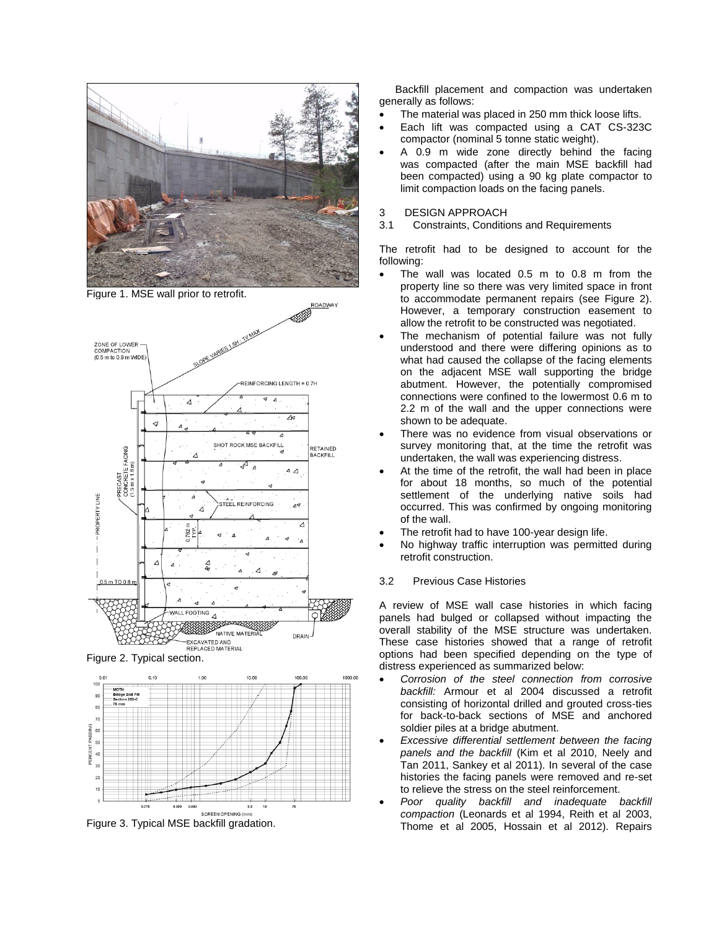

Figure 1. MSE wall prior to retrofit.



Figure 2. Typical section.



Figure 3. Typical MSE backfill gradation.

Backfill placement and compaction was undertaken generally as follows:

- The material was placed in 250 mm thick loose lifts.
- Each lift was compacted using a CAT CS-323C compactor (nominal 5 tonne static weight).
- A 0.9 m wide zone directly behind the facing was compacted (after the main MSE backfill had been compacted) using a 90 kg plate compactor to limit compaction loads on the facing panels.

#### 3 DESIGN APPROACH

3.1 Constraints, Conditions and Requirements

The retrofit had to be designed to account for the following:

- The wall was located 0.5 m to 0.8 m from the property line so there was very limited space in front to accommodate permanent repairs (see Figure 2). However, a temporary construction easement to allow the retrofit to be constructed was negotiated.
- The mechanism of potential failure was not fully understood and there were differing opinions as to what had caused the collapse of the facing elements on the adjacent MSE wall supporting the bridge abutment. However, the potentially compromised connections were confined to the lowermost 0.6 m to 2.2 m of the wall and the upper connections were shown to be adequate.
- There was no evidence from visual observations or survey monitoring that, at the time the retrofit was undertaken, the wall was experiencing distress.
- At the time of the retrofit, the wall had been in place for about 18 months, so much of the potential settlement of the underlying native soils had occurred. This was confirmed by ongoing monitoring of the wall.
- The retrofit had to have 100-year design life.
- No highway traffic interruption was permitted during retrofit construction.

# 3.2 Previous Case Histories

A review of MSE wall case histories in which facing panels had bulged or collapsed without impacting the overall stability of the MSE structure was undertaken. These case histories showed that a range of retrofit options had been specified depending on the type of distress experienced as summarized below:

- *Corrosion of the steel connection from corrosive backfill:* Armour et al 2004 discussed a retrofit consisting of horizontal drilled and grouted cross-ties for back-to-back sections of MSE and anchored soldier piles at a bridge abutment.
- *Excessive differential settlement between the facing panels and the backfill* (Kim et al 2010, Neely and Tan 2011, Sankey et al 2011). In several of the case histories the facing panels were removed and re-set to relieve the stress on the steel reinforcement.
- *Poor quality backfill and inadequate backfill compaction* (Leonards et al 1994, Reith et al 2003, Thome et al 2005, Hossain et al 2012). Repairs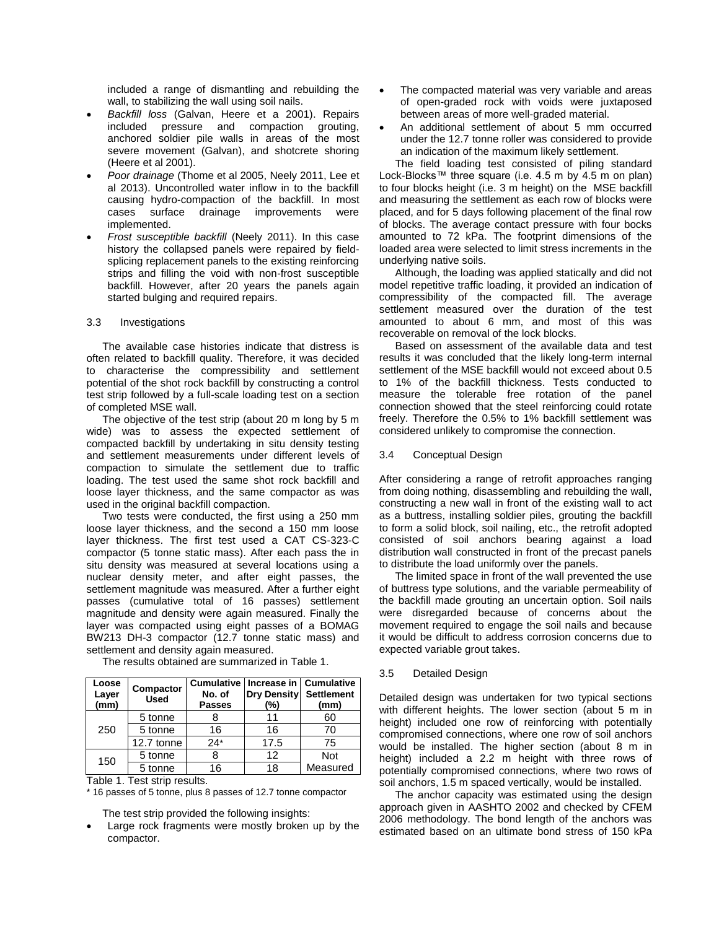included a range of dismantling and rebuilding the wall, to stabilizing the wall using soil nails.

- *Backfill loss* (Galvan, Heere et a 2001). Repairs included pressure and compaction grouting, anchored soldier pile walls in areas of the most severe movement (Galvan), and shotcrete shoring (Heere et al 2001).
- *Poor drainage* (Thome et al 2005, Neely 2011, Lee et al 2013). Uncontrolled water inflow in to the backfill causing hydro-compaction of the backfill. In most cases surface drainage improvements were implemented.
- *Frost susceptible backfill* (Neely 2011). In this case history the collapsed panels were repaired by fieldsplicing replacement panels to the existing reinforcing strips and filling the void with non-frost susceptible backfill. However, after 20 years the panels again started bulging and required repairs.

#### 3.3 Investigations

The available case histories indicate that distress is often related to backfill quality. Therefore, it was decided to characterise the compressibility and settlement potential of the shot rock backfill by constructing a control test strip followed by a full-scale loading test on a section of completed MSE wall.

The objective of the test strip (about 20 m long by 5 m wide) was to assess the expected settlement of compacted backfill by undertaking in situ density testing and settlement measurements under different levels of compaction to simulate the settlement due to traffic loading. The test used the same shot rock backfill and loose layer thickness, and the same compactor as was used in the original backfill compaction.

Two tests were conducted, the first using a 250 mm loose layer thickness, and the second a 150 mm loose layer thickness. The first test used a CAT CS-323-C compactor (5 tonne static mass). After each pass the in situ density was measured at several locations using a nuclear density meter, and after eight passes, the settlement magnitude was measured. After a further eight passes (cumulative total of 16 passes) settlement magnitude and density were again measured. Finally the layer was compacted using eight passes of a BOMAG BW213 DH-3 compactor (12.7 tonne static mass) and settlement and density again measured.

| Loose<br>Layer<br>(mm) | Compactor<br><b>Used</b> | No. of<br><b>Passes</b> | Cumulative   Increase in   Cumulative<br><b>Dry Density</b><br>(%) | <b>Settlement</b><br>(mm) |
|------------------------|--------------------------|-------------------------|--------------------------------------------------------------------|---------------------------|
| 250                    | 5 tonne                  |                         | 11                                                                 | 60                        |
|                        | 5 tonne                  | 16                      | 16                                                                 | 70                        |
|                        | 12.7 tonne               | $24*$                   | 17.5                                                               | 75                        |
| 150                    | 5 tonne                  |                         | 12                                                                 | <b>Not</b>                |
|                        | 5 tonne                  | 16                      | 18                                                                 | Measured                  |

The results obtained are summarized in Table 1.

Table 1. Test strip results.

\* 16 passes of 5 tonne, plus 8 passes of 12.7 tonne compactor

The test strip provided the following insights:

 Large rock fragments were mostly broken up by the compactor.

- The compacted material was very variable and areas of open-graded rock with voids were juxtaposed between areas of more well-graded material.
- An additional settlement of about 5 mm occurred under the 12.7 tonne roller was considered to provide an indication of the maximum likely settlement.

The field loading test consisted of piling standard Lock-Blocks™ three square (i.e. 4.5 m by 4.5 m on plan) to four blocks height (i.e. 3 m height) on the MSE backfill and measuring the settlement as each row of blocks were placed, and for 5 days following placement of the final row of blocks. The average contact pressure with four bocks amounted to 72 kPa. The footprint dimensions of the loaded area were selected to limit stress increments in the underlying native soils.

Although, the loading was applied statically and did not model repetitive traffic loading, it provided an indication of compressibility of the compacted fill. The average settlement measured over the duration of the test amounted to about 6 mm, and most of this was recoverable on removal of the lock blocks.

Based on assessment of the available data and test results it was concluded that the likely long-term internal settlement of the MSE backfill would not exceed about 0.5 to 1% of the backfill thickness. Tests conducted to measure the tolerable free rotation of the panel connection showed that the steel reinforcing could rotate freely. Therefore the 0.5% to 1% backfill settlement was considered unlikely to compromise the connection.

# 3.4 Conceptual Design

After considering a range of retrofit approaches ranging from doing nothing, disassembling and rebuilding the wall, constructing a new wall in front of the existing wall to act as a buttress, installing soldier piles, grouting the backfill to form a solid block, soil nailing, etc., the retrofit adopted consisted of soil anchors bearing against a load distribution wall constructed in front of the precast panels to distribute the load uniformly over the panels.

The limited space in front of the wall prevented the use of buttress type solutions, and the variable permeability of the backfill made grouting an uncertain option. Soil nails were disregarded because of concerns about the movement required to engage the soil nails and because it would be difficult to address corrosion concerns due to expected variable grout takes.

#### 3.5 Detailed Design

Detailed design was undertaken for two typical sections with different heights. The lower section (about 5 m in height) included one row of reinforcing with potentially compromised connections, where one row of soil anchors would be installed. The higher section (about 8 m in height) included a 2.2 m height with three rows of potentially compromised connections, where two rows of soil anchors, 1.5 m spaced vertically, would be installed.

The anchor capacity was estimated using the design approach given in AASHTO 2002 and checked by CFEM 2006 methodology. The bond length of the anchors was estimated based on an ultimate bond stress of 150 kPa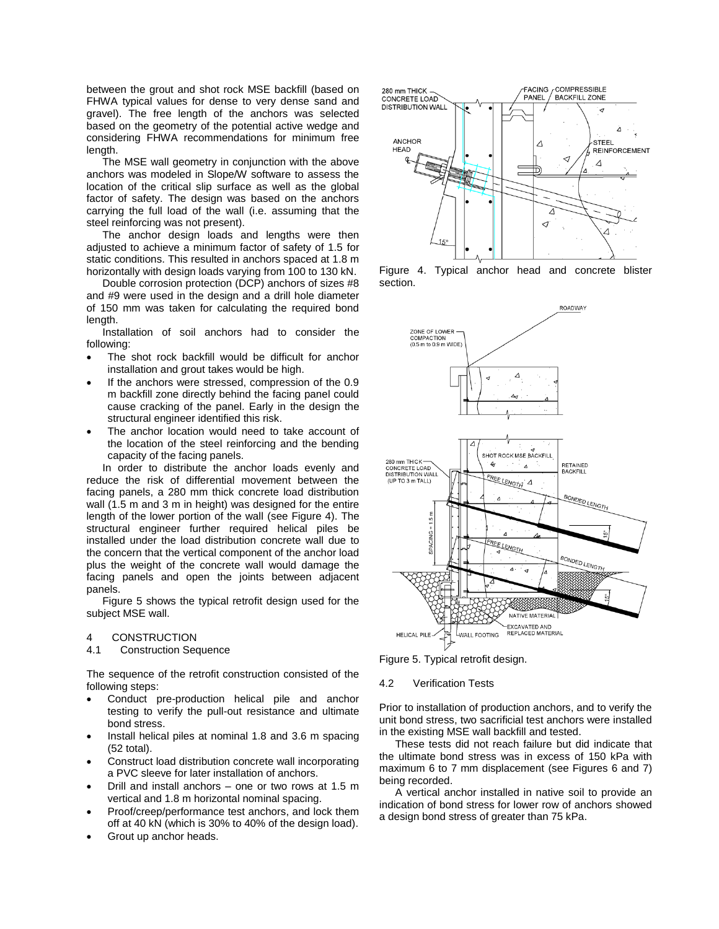between the grout and shot rock MSE backfill (based on FHWA typical values for dense to very dense sand and gravel). The free length of the anchors was selected based on the geometry of the potential active wedge and considering FHWA recommendations for minimum free length.

The MSE wall geometry in conjunction with the above anchors was modeled in Slope/W software to assess the location of the critical slip surface as well as the global factor of safety. The design was based on the anchors carrying the full load of the wall (i.e. assuming that the steel reinforcing was not present).

The anchor design loads and lengths were then adjusted to achieve a minimum factor of safety of 1.5 for static conditions. This resulted in anchors spaced at 1.8 m horizontally with design loads varying from 100 to 130 kN.

Double corrosion protection (DCP) anchors of sizes #8 and #9 were used in the design and a drill hole diameter of 150 mm was taken for calculating the required bond length.

Installation of soil anchors had to consider the following:

- The shot rock backfill would be difficult for anchor installation and grout takes would be high.
- If the anchors were stressed, compression of the 0.9 m backfill zone directly behind the facing panel could cause cracking of the panel. Early in the design the structural engineer identified this risk.
- The anchor location would need to take account of the location of the steel reinforcing and the bending capacity of the facing panels.

In order to distribute the anchor loads evenly and reduce the risk of differential movement between the facing panels, a 280 mm thick concrete load distribution wall (1.5 m and 3 m in height) was designed for the entire length of the lower portion of the wall (see Figure 4). The structural engineer further required helical piles be installed under the load distribution concrete wall due to the concern that the vertical component of the anchor load plus the weight of the concrete wall would damage the facing panels and open the joints between adjacent panels.

Figure 5 shows the typical retrofit design used for the subject MSE wall.

#### 4 CONSTRUCTION

4.1 Construction Sequence

The sequence of the retrofit construction consisted of the following steps:

- Conduct pre-production helical pile and anchor testing to verify the pull-out resistance and ultimate bond stress.
- Install helical piles at nominal 1.8 and 3.6 m spacing (52 total).
- Construct load distribution concrete wall incorporating a PVC sleeve for later installation of anchors.
- Drill and install anchors one or two rows at 1.5 m vertical and 1.8 m horizontal nominal spacing.
- Proof/creep/performance test anchors, and lock them off at 40 kN (which is 30% to 40% of the design load).
- Grout up anchor heads.



Figure 4. Typical anchor head and concrete blister section.



Figure 5. Typical retrofit design.

#### 4.2 Verification Tests

Prior to installation of production anchors, and to verify the unit bond stress, two sacrificial test anchors were installed in the existing MSE wall backfill and tested.

These tests did not reach failure but did indicate that the ultimate bond stress was in excess of 150 kPa with maximum 6 to 7 mm displacement (see Figures 6 and 7) being recorded.

A vertical anchor installed in native soil to provide an indication of bond stress for lower row of anchors showed a design bond stress of greater than 75 kPa.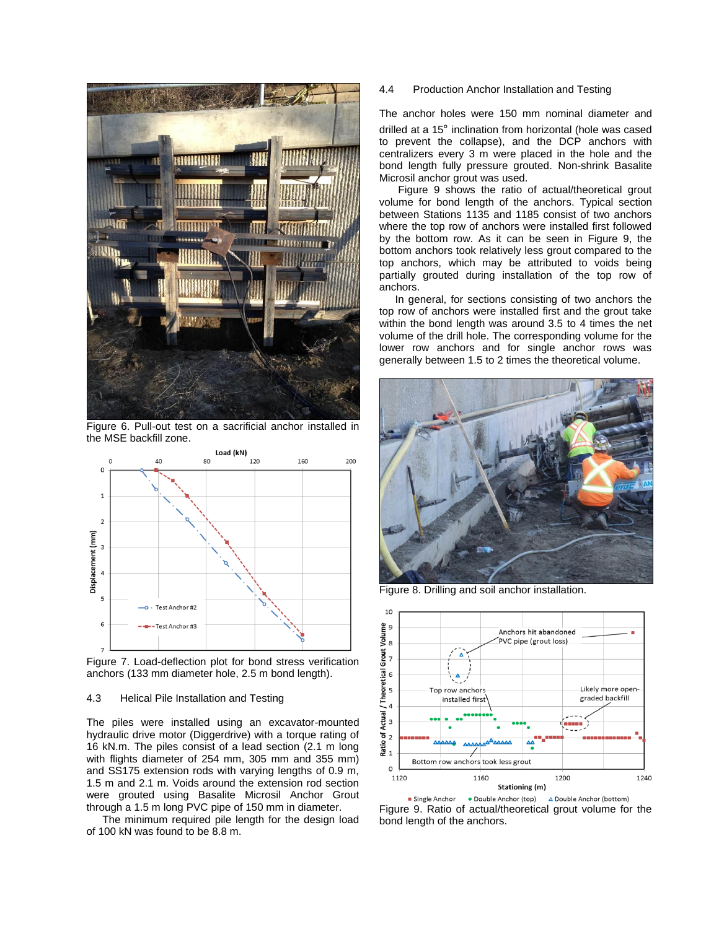

Figure 6. Pull-out test on a sacrificial anchor installed in the MSE backfill zone.



Figure 7. Load-deflection plot for bond stress verification anchors (133 mm diameter hole, 2.5 m bond length).

# 4.3 Helical Pile Installation and Testing

The piles were installed using an excavator-mounted hydraulic drive motor (Diggerdrive) with a torque rating of 16 kN.m. The piles consist of a lead section (2.1 m long with flights diameter of 254 mm, 305 mm and 355 mm) and SS175 extension rods with varying lengths of 0.9 m, 1.5 m and 2.1 m. Voids around the extension rod section were grouted using Basalite Microsil Anchor Grout through a 1.5 m long PVC pipe of 150 mm in diameter.

The minimum required pile length for the design load of 100 kN was found to be 8.8 m.

4.4 Production Anchor Installation and Testing

The anchor holes were 150 mm nominal diameter and drilled at a 15° inclination from horizontal (hole was cased to prevent the collapse), and the DCP anchors with centralizers every 3 m were placed in the hole and the bond length fully pressure grouted. Non-shrink Basalite Microsil anchor grout was used.

Figure 9 shows the ratio of actual/theoretical grout volume for bond length of the anchors. Typical section between Stations 1135 and 1185 consist of two anchors where the top row of anchors were installed first followed by the bottom row. As it can be seen in Figure 9, the bottom anchors took relatively less grout compared to the top anchors, which may be attributed to voids being partially grouted during installation of the top row of anchors.

In general, for sections consisting of two anchors the top row of anchors were installed first and the grout take within the bond length was around 3.5 to 4 times the net volume of the drill hole. The corresponding volume for the lower row anchors and for single anchor rows was generally between 1.5 to 2 times the theoretical volume.



Figure 8. Drilling and soil anchor installation.



Single Anchor · Double Anchor (top) △ Double Anchor (bottom) Figure 9. Ratio of actual/theoretical grout volume for the bond length of the anchors.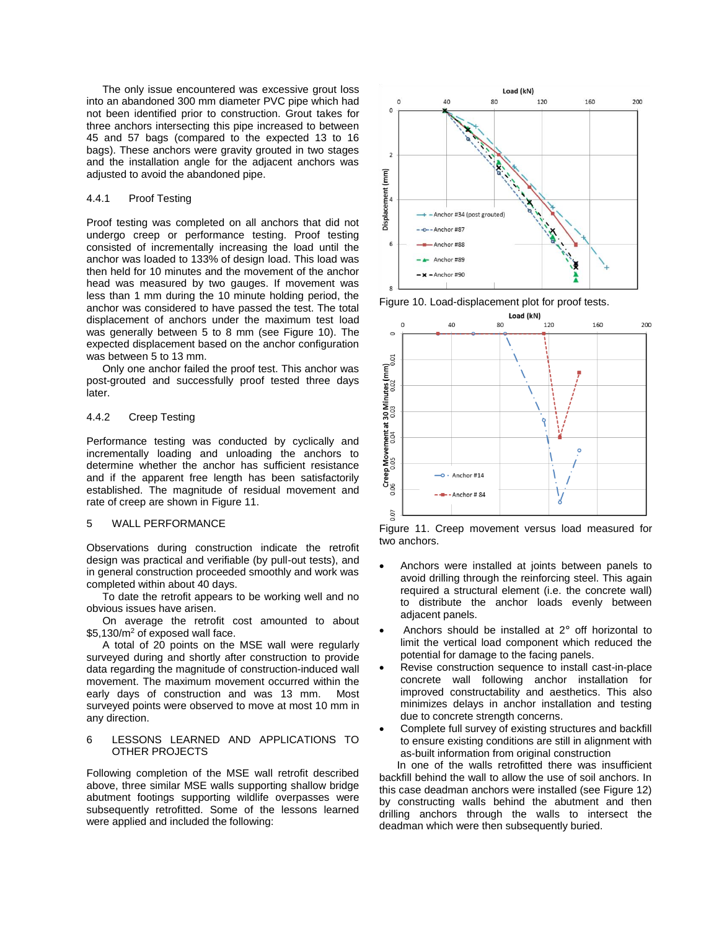The only issue encountered was excessive grout loss into an abandoned 300 mm diameter PVC pipe which had not been identified prior to construction. Grout takes for three anchors intersecting this pipe increased to between 45 and 57 bags (compared to the expected 13 to 16 bags). These anchors were gravity grouted in two stages and the installation angle for the adjacent anchors was adjusted to avoid the abandoned pipe.

#### 4.4.1 Proof Testing

Proof testing was completed on all anchors that did not undergo creep or performance testing. Proof testing consisted of incrementally increasing the load until the anchor was loaded to 133% of design load. This load was then held for 10 minutes and the movement of the anchor head was measured by two gauges. If movement was less than 1 mm during the 10 minute holding period, the anchor was considered to have passed the test. The total displacement of anchors under the maximum test load was generally between 5 to 8 mm (see Figure 10). The expected displacement based on the anchor configuration was between 5 to 13 mm.

Only one anchor failed the proof test. This anchor was post-grouted and successfully proof tested three days later.

# 4.4.2 Creep Testing

Performance testing was conducted by cyclically and incrementally loading and unloading the anchors to determine whether the anchor has sufficient resistance and if the apparent free length has been satisfactorily established. The magnitude of residual movement and rate of creep are shown in Figure 11.

#### 5 WALL PERFORMANCE

Observations during construction indicate the retrofit design was practical and verifiable (by pull-out tests), and in general construction proceeded smoothly and work was completed within about 40 days.

To date the retrofit appears to be working well and no obvious issues have arisen.

On average the retrofit cost amounted to about \$5,130/m<sup>2</sup> of exposed wall face.

A total of 20 points on the MSE wall were regularly surveyed during and shortly after construction to provide data regarding the magnitude of construction-induced wall movement. The maximum movement occurred within the early days of construction and was 13 mm. Most surveyed points were observed to move at most 10 mm in any direction.

#### 6 LESSONS LEARNED AND APPLICATIONS TO OTHER PROJECTS

Following completion of the MSE wall retrofit described above, three similar MSE walls supporting shallow bridge abutment footings supporting wildlife overpasses were subsequently retrofitted. Some of the lessons learned were applied and included the following:



Figure 10. Load-displacement plot for proof tests.



Figure 11. Creep movement versus load measured for two anchors.

- Anchors were installed at joints between panels to avoid drilling through the reinforcing steel. This again required a structural element (i.e. the concrete wall) to distribute the anchor loads evenly between adjacent panels.
- Anchors should be installed at 2 ∘ off horizontal to limit the vertical load component which reduced the potential for damage to the facing panels.
- Revise construction sequence to install cast-in-place concrete wall following anchor installation for improved constructability and aesthetics. This also minimizes delays in anchor installation and testing due to concrete strength concerns.
- Complete full survey of existing structures and backfill to ensure existing conditions are still in alignment with as-built information from original construction

 In one of the walls retrofitted there was insufficient backfill behind the wall to allow the use of soil anchors. In this case deadman anchors were installed (see Figure 12) by constructing walls behind the abutment and then drilling anchors through the walls to intersect the deadman which were then subsequently buried.